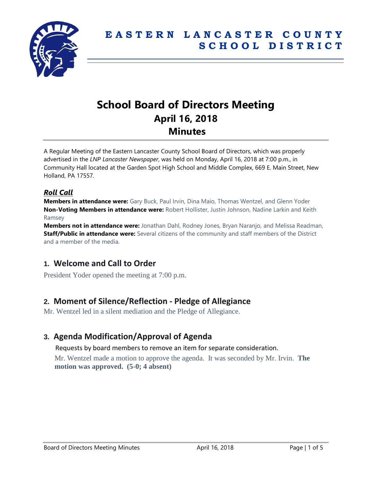

# **School Board of Directors Meeting April 16, 2018 Minutes**

A Regular Meeting of the Eastern Lancaster County School Board of Directors, which was properly advertised in the *LNP Lancaster Newspaper*, was held on Monday, April 16, 2018 at 7:00 p.m., in Community Hall located at the Garden Spot High School and Middle Complex, 669 E. Main Street, New Holland, PA 17557.

### *Roll Call*

**Members in attendance were:** Gary Buck, Paul Irvin, Dina Maio, Thomas Wentzel, and Glenn Yoder **Non-Voting Members in attendance were:** Robert Hollister, Justin Johnson, Nadine Larkin and Keith Ramsey

**Members not in attendance were:** Jonathan Dahl, Rodney Jones, Bryan Naranjo, and Melissa Readman, **Staff/Public in attendance were:** Several citizens of the community and staff members of the District and a member of the media.

# **1. Welcome and Call to Order**

President Yoder opened the meeting at 7:00 p.m.

# **2. Moment of Silence/Reflection - Pledge of Allegiance**

Mr. Wentzel led in a silent mediation and the Pledge of Allegiance.

# **3. Agenda Modification/Approval of Agenda**

Requests by board members to remove an item for separate consideration.

Mr. Wentzel made a motion to approve the agenda. It was seconded by Mr. Irvin. **The motion was approved. (5-0; 4 absent)**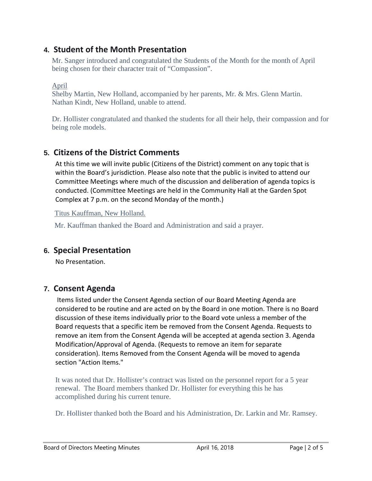# **4. Student of the Month Presentation**

Mr. Sanger introduced and congratulated the Students of the Month for the month of April being chosen for their character trait of "Compassion".

April

Shelby Martin, New Holland, accompanied by her parents, Mr. & Mrs. Glenn Martin. Nathan Kindt, New Holland, unable to attend.

Dr. Hollister congratulated and thanked the students for all their help, their compassion and for being role models.

# **5. Citizens of the District Comments**

At this time we will invite public (Citizens of the District) comment on any topic that is within the Board's jurisdiction. Please also note that the public is invited to attend our Committee Meetings where much of the discussion and deliberation of agenda topics is conducted. (Committee Meetings are held in the Community Hall at the Garden Spot Complex at 7 p.m. on the second Monday of the month.)

Titus Kauffman, New Holland.

Mr. Kauffman thanked the Board and Administration and said a prayer.

### **6. Special Presentation**

No Presentation.

# **7. Consent Agenda**

Items listed under the Consent Agenda section of our Board Meeting Agenda are considered to be routine and are acted on by the Board in one motion. There is no Board discussion of these items individually prior to the Board vote unless a member of the Board requests that a specific item be removed from the Consent Agenda. Requests to remove an item from the Consent Agenda will be accepted at agenda section 3. Agenda Modification/Approval of Agenda. (Requests to remove an item for separate consideration). Items Removed from the Consent Agenda will be moved to agenda section "Action Items."

It was noted that Dr. Hollister's contract was listed on the personnel report for a 5 year renewal. The Board members thanked Dr. Hollister for everything this he has accomplished during his current tenure.

Dr. Hollister thanked both the Board and his Administration, Dr. Larkin and Mr. Ramsey.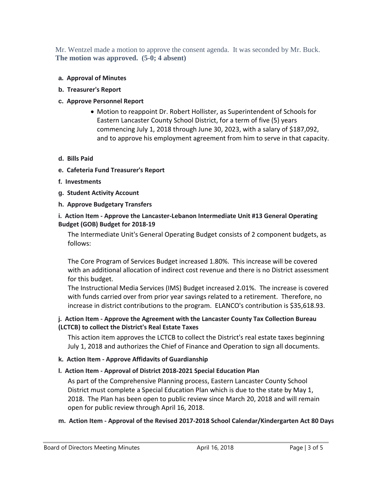Mr. Wentzel made a motion to approve the consent agenda. It was seconded by Mr. Buck. **The motion was approved. (5-0; 4 absent)**

### **a. Approval of Minutes**

### **b. Treasurer's Report**

### **c. Approve Personnel Report**

• Motion to reappoint Dr. Robert Hollister, as Superintendent of Schools for Eastern Lancaster County School District, for a term of five (5) years commencing July 1, 2018 through June 30, 2023, with a salary of \$187,092, and to approve his employment agreement from him to serve in that capacity.

#### **d. Bills Paid**

- **e. Cafeteria Fund Treasurer's Report**
- **f. Investments**
- **g. Student Activity Account**
- **h. Approve Budgetary Transfers**

### **i. Action Item - Approve the Lancaster-Lebanon Intermediate Unit #13 General Operating Budget (GOB) Budget for 2018-19**

The Intermediate Unit's General Operating Budget consists of 2 component budgets, as follows:

The Core Program of Services Budget increased 1.80%. This increase will be covered with an additional allocation of indirect cost revenue and there is no District assessment for this budget.

The Instructional Media Services (IMS) Budget increased 2.01%. The increase is covered with funds carried over from prior year savings related to a retirement. Therefore, no increase in district contributions to the program. ELANCO's contribution is \$35,618.93.

### **j. Action Item - Approve the Agreement with the Lancaster County Tax Collection Bureau (LCTCB) to collect the District's Real Estate Taxes**

This action item approves the LCTCB to collect the District's real estate taxes beginning July 1, 2018 and authorizes the Chief of Finance and Operation to sign all documents.

### **k. Action Item - Approve Affidavits of Guardianship**

### **l. Action Item - Approval of District 2018-2021 Special Education Plan**

As part of the Comprehensive Planning process, Eastern Lancaster County School District must complete a Special Education Plan which is due to the state by May 1, 2018. The Plan has been open to public review since March 20, 2018 and will remain open for public review through April 16, 2018.

### **m. Action Item - Approval of the Revised 2017-2018 School Calendar/Kindergarten Act 80 Days**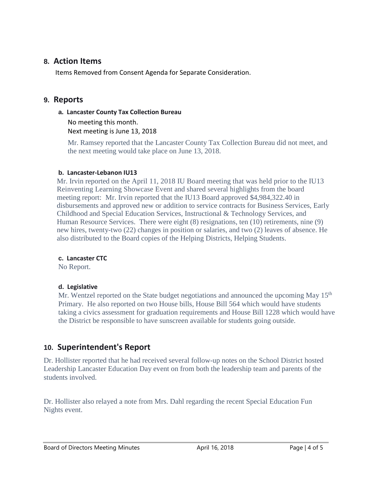### **8. Action Items**

Items Removed from Consent Agenda for Separate Consideration.

### **9. Reports**

### **a. Lancaster County Tax Collection Bureau**

No meeting this month. Next meeting is June 13, 2018

Mr. Ramsey reported that the Lancaster County Tax Collection Bureau did not meet, and the next meeting would take place on June 13, 2018.

### **b. Lancaster-Lebanon IU13**

Mr. Irvin reported on the April 11, 2018 IU Board meeting that was held prior to the IU13 Reinventing Learning Showcase Event and shared several highlights from the board meeting report: Mr. Irvin reported that the IU13 Board approved \$4,984,322.40 in disbursements and approved new or addition to service contracts for Business Services, Early Childhood and Special Education Services, Instructional & Technology Services, and Human Resource Services. There were eight (8) resignations, ten (10) retirements, nine (9) new hires, twenty-two (22) changes in position or salaries, and two (2) leaves of absence. He also distributed to the Board copies of the Helping Districts, Helping Students.

### **c. Lancaster CTC**

No Report.

### **d. Legislative**

Mr. Wentzel reported on the State budget negotiations and announced the upcoming May 15<sup>th</sup> Primary. He also reported on two House bills, House Bill 564 which would have students taking a civics assessment for graduation requirements and House Bill 1228 which would have the District be responsible to have sunscreen available for students going outside.

# **10. Superintendent's Report**

Dr. Hollister reported that he had received several follow-up notes on the School District hosted Leadership Lancaster Education Day event on from both the leadership team and parents of the students involved.

Dr. Hollister also relayed a note from Mrs. Dahl regarding the recent Special Education Fun Nights event.